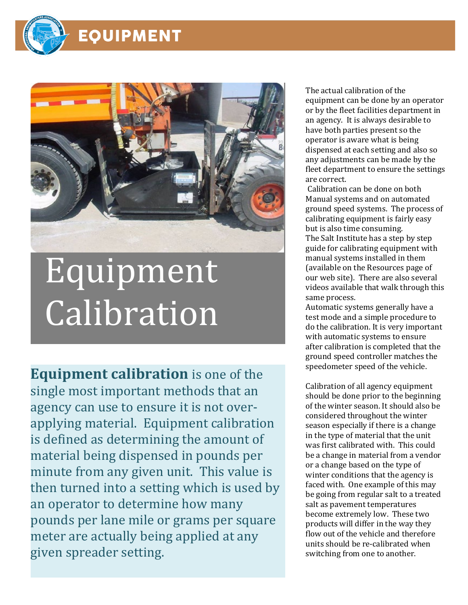

## EQUIPMENT



## Equipment Calibration

**Equipment calibration** is one of the single most important methods that an agency can use to ensure it is not overapplying material. Equipment calibration is defined as determining the amount of material being dispensed in pounds per minute from any given unit. This value is then turned into a setting which is used by an operator to determine how many pounds per lane mile or grams per square meter are actually being applied at any given spreader setting.

The actual calibration of the equipment can be done by an operator or by the fleet facilities department in an agency. It is always desirable to have both parties present so the operator is aware what is being dispensed at each setting and also so any adjustments can be made by the fleet department to ensure the settings are correct.

Calibration can be done on both Manual systems and on automated ground speed systems. The process of calibrating equipment is fairly easy but is also time consuming. The Salt Institute has a step by step guide for calibrating equipment with manual systems installed in them (available on the Resources page of our web site). There are also several videos available that walk through this same process.

Automatic systems generally have a test mode and a simple procedure to do the calibration. It is very important with automatic systems to ensure after calibration is completed that the ground speed controller matches the speedometer speed of the vehicle.

Calibration of all agency equipment should be done prior to the beginning of the winter season. It should also be considered throughout the winter season especially if there is a change in the type of material that the unit was first calibrated with. This could be a change in material from a vendor or a change based on the type of winter conditions that the agency is faced with. One example of this may be going from regular salt to a treated salt as pavement temperatures become extremely low. These two products will differ in the way they flow out of the vehicle and therefore units should be re-calibrated when switching from one to another.